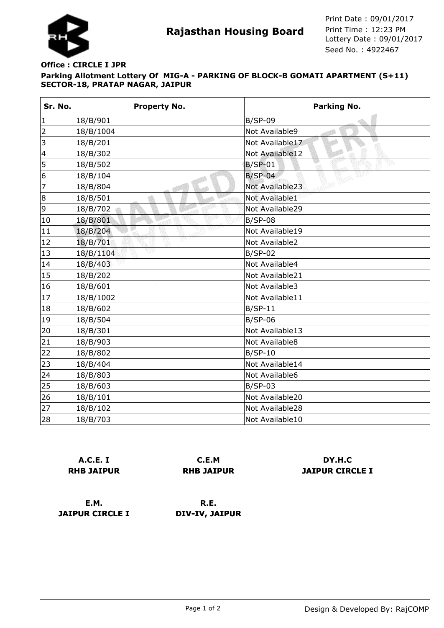

## **Parking Allotment Lottery Of MIG-A - PARKING OF BLOCK-B GOMATI APARTMENT (S+11) SECTOR-18, PRATAP NAGAR, JAIPUR Office : CIRCLE I JPR**

| Sr. No.                  | <b>Property No.</b> | Parking No.           |
|--------------------------|---------------------|-----------------------|
| $\mathbf{1}$             | 18/B/901            | $B/SP-09$             |
| $\overline{2}$           | 18/B/1004           | Not Available9        |
| 3                        | 18/B/201            | Not Available17<br>ेग |
| $\overline{\mathcal{L}}$ | 18/B/302            | Not Available12       |
| 5                        | 18/B/502            | $B/SP-01$             |
| 6                        | 18/B/104            | $B/SP-04$             |
| 7                        | 18/B/804            | Not Available23       |
| 8                        | 18/B/501            | Not Available1        |
| 9                        | 18/B/702            | Not Available29       |
| 10                       | 18/B/801            | $B/SP-08$             |
| 11                       | 18/B/204            | Not Available19       |
| 12                       | Ŵ<br>18/B/701       | Not Available2        |
| 13                       | 18/B/1104           | $B/SP-02$             |
| 14                       | 18/B/403            | Not Available4        |
| 15                       | 18/B/202            | Not Available21       |
| 16                       | 18/B/601            | Not Available3        |
| 17                       | 18/B/1002           | Not Available11       |
| 18                       | 18/B/602            | $B/SP-11$             |
| 19                       | 18/B/504            | $B/SP-06$             |
| 20                       | 18/B/301            | Not Available13       |
| 21                       | 18/B/903            | Not Available8        |
| 22                       | 18/B/802            | $B/SP-10$             |
| 23                       | 18/B/404            | Not Available14       |
| 24                       | 18/B/803            | Not Available6        |
| 25                       | 18/B/603            | $B/SP-03$             |
| 26                       | 18/B/101            | Not Available20       |
| 27                       | 18/B/102            | Not Available28       |
| 28                       | 18/B/703            | Not Available10       |

|                   | A.C.E. I |  |
|-------------------|----------|--|
| <b>RHB JAIPUR</b> |          |  |

**C.E.M RHB JAIPUR**

**DY.H.C JAIPUR CIRCLE I**

**E.M. JAIPUR CIRCLE I**

**R.E. DIV-IV, JAIPUR**